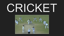# CRICKE

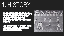# 1. HISTORY

The sport of cricket has a known history. Having originated in south-east England, it became an established sport in the country in the 18th century and developed globally in the 19th and 20th centuries.

The Britishers brought Cricket to India in the early 1700's, with the first cricket match played back in 1721.

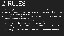### 2. RULES

- Cricket is played between two teams each made up of 11 players.
- Games comprise of at least one innings where each team will take turns in batting and fielding+bowling.
- The fielding team will have a bowler bowl the ball to the batsman who tries to hit the ball with their bat.
- The fielding team tries to get the batsmen out by...
	- Hitting the wickets with the ball when bowling
	- o Catching a batsman's shot by the hands before the ball touches the ground.
	- Hitting the wickets before the batsmen can run to the other end of the pitch.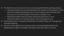- The batmen try to score as many runs as possible before getting out by...
	- Hitting the ball and running between the wickets and making it to the other end before the fielders can hit the wickets with the ball. Each time you run one full length of the pitch it equals 1 run.
	- Hitting the ball to the boundary along the ground is 4 runs.
	- Hitting the ball over the boundary in the air equals 6 runs.
- The fielding team must get 10 batsmen out before they can change over and start batting.
- The aim of the game is to score as many runs as possible before the fielding team takes 10 wickets. The team with the most runs wins.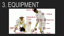#### 3. EQUIPMENT

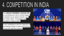# 4. COMPETITION IN INDIA

The **INDIAN PREMIER LEAGUE (IPL)** is a professional men's cricket league, contested by ten teams based out of ten Indian cities. The league was founded in India in 2007.

It was established with the objective of promoting cricket in India and nurturing young and talented players.